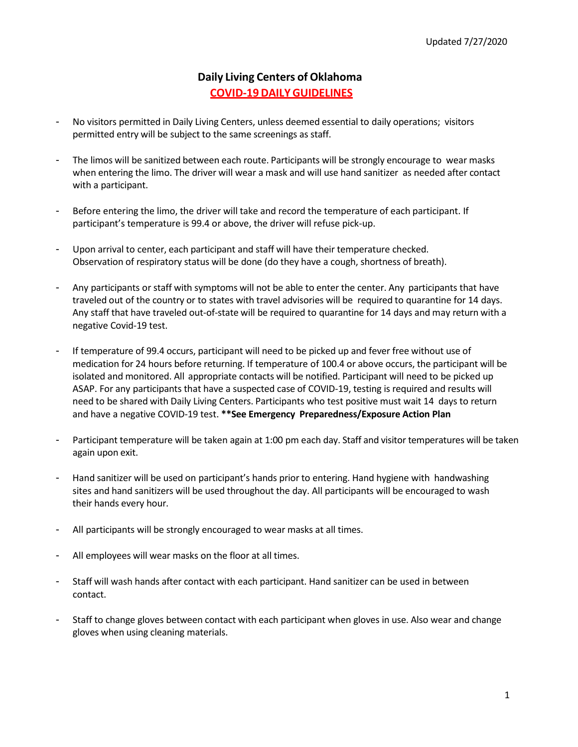## **Daily Living Centers of Oklahoma COVID-19DAILYGUIDELINES**

- No visitors permitted in Daily Living Centers, unless deemed essential to daily operations; visitors permitted entry will be subject to the same screenings as staff.
- The limos will be sanitized between each route. Participants will be strongly encourage to wear masks when entering the limo. The driver will wear a mask and will use hand sanitizer as needed after contact with a participant.
- Before entering the limo, the driver will take and record the temperature of each participant. If participant's temperature is 99.4 or above, the driver will refuse pick-up.
- Upon arrival to center, each participant and staff will have their temperature checked. Observation of respiratory status will be done (do they have a cough, shortness of breath).
- Any participants or staff with symptoms will not be able to enter the center. Any participants that have traveled out of the country or to states with travel advisories will be required to quarantine for 14 days. Any staff that have traveled out-of-state will be required to quarantine for 14 days and may return with a negative Covid-19 test.
- If temperature of 99.4 occurs, participant will need to be picked up and fever free without use of medication for 24 hours before returning. If temperature of 100.4 or above occurs, the participant will be isolated and monitored. All appropriate contacts will be notified. Participant will need to be picked up ASAP. For any participants that have a suspected case of COVID-19, testing is required and results will need to be shared with Daily Living Centers. Participants who test positive must wait 14 days to return and have a negative COVID-19 test. **\*\*See Emergency Preparedness/Exposure Action Plan**
- Participant temperature will be taken again at 1:00 pm each day. Staff and visitor temperatures will be taken again upon exit.
- Hand sanitizer will be used on participant's hands prior to entering. Hand hygiene with handwashing sites and hand sanitizers will be used throughout the day. All participants will be encouraged to wash their hands every hour.
- All participants will be strongly encouraged to wear masks at all times.
- All employees will wear masks on the floor at all times.
- Staff will wash hands after contact with each participant. Hand sanitizer can be used in between contact.
- Staff to change gloves between contact with each participant when gloves in use. Also wear and change gloves when using cleaning materials.